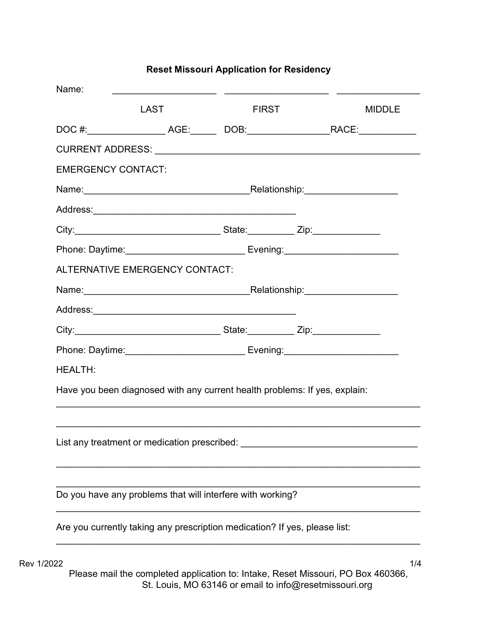## Name: \_\_\_\_\_\_\_\_\_\_\_\_\_\_\_\_\_\_\_\_ \_\_\_\_\_\_\_\_\_\_\_\_\_\_\_\_\_\_\_\_ \_\_\_\_\_\_\_\_\_\_\_\_\_\_\_\_ LAST FIRST MIDDLE DOC #:\_\_\_\_\_\_\_\_\_\_\_\_\_\_\_ AGE:\_\_\_\_\_ DOB:\_\_\_\_\_\_\_\_\_\_\_\_\_\_\_\_RACE:\_\_\_\_\_\_\_\_\_\_\_ CURRENT ADDRESS: \_\_\_\_\_\_\_\_\_\_\_\_\_\_\_\_\_\_\_\_\_\_\_\_\_\_\_\_\_\_\_\_\_\_\_\_\_\_\_\_\_\_\_\_\_\_\_\_\_\_\_ EMERGENCY CONTACT: Name:\_\_\_\_\_\_\_\_\_\_\_\_\_\_\_\_\_\_\_\_\_\_\_\_\_\_\_\_\_\_\_\_Relationship:\_\_\_\_\_\_\_\_\_\_\_\_\_\_\_\_\_\_ Address:\_\_\_\_\_\_\_\_\_\_\_\_\_\_\_\_\_\_\_\_\_\_\_\_\_\_\_\_\_\_\_\_\_\_\_\_\_\_\_ City:\_\_\_\_\_\_\_\_\_\_\_\_\_\_\_\_\_\_\_\_\_\_\_\_\_\_\_\_ State:\_\_\_\_\_\_\_\_\_ Zip:\_\_\_\_\_\_\_\_\_\_\_\_\_ Phone: Daytime:\_\_\_\_\_\_\_\_\_\_\_\_\_\_\_\_\_\_\_\_\_\_\_ Evening:\_\_\_\_\_\_\_\_\_\_\_\_\_\_\_\_\_\_\_\_\_\_ ALTERNATIVE EMERGENCY CONTACT: Name:\_\_\_\_\_\_\_\_\_\_\_\_\_\_\_\_\_\_\_\_\_\_\_\_\_\_\_\_\_\_\_\_Relationship:\_\_\_\_\_\_\_\_\_\_\_\_\_\_\_\_\_\_ Address:\_\_\_\_\_\_\_\_\_\_\_\_\_\_\_\_\_\_\_\_\_\_\_\_\_\_\_\_\_\_\_\_\_\_\_\_\_\_\_ City:\_\_\_\_\_\_\_\_\_\_\_\_\_\_\_\_\_\_\_\_\_\_\_\_\_\_\_\_ State:\_\_\_\_\_\_\_\_\_ Zip:\_\_\_\_\_\_\_\_\_\_\_\_\_ Phone: Daytime:\_\_\_\_\_\_\_\_\_\_\_\_\_\_\_\_\_\_\_\_\_\_\_ Evening:\_\_\_\_\_\_\_\_\_\_\_\_\_\_\_\_\_\_\_\_\_\_ HEALTH: Have you been diagnosed with any current health problems: If yes, explain:  $\mathcal{L}_\mathcal{L} = \mathcal{L}_\mathcal{L} = \mathcal{L}_\mathcal{L} = \mathcal{L}_\mathcal{L} = \mathcal{L}_\mathcal{L} = \mathcal{L}_\mathcal{L} = \mathcal{L}_\mathcal{L} = \mathcal{L}_\mathcal{L} = \mathcal{L}_\mathcal{L} = \mathcal{L}_\mathcal{L} = \mathcal{L}_\mathcal{L} = \mathcal{L}_\mathcal{L} = \mathcal{L}_\mathcal{L} = \mathcal{L}_\mathcal{L} = \mathcal{L}_\mathcal{L} = \mathcal{L}_\mathcal{L} = \mathcal{L}_\mathcal{L}$ \_\_\_\_\_\_\_\_\_\_\_\_\_\_\_\_\_\_\_\_\_\_\_\_\_\_\_\_\_\_\_\_\_\_\_\_\_\_\_\_\_\_\_\_\_\_\_\_\_\_\_\_\_\_\_\_\_\_\_\_\_\_\_\_\_\_\_\_\_\_ List any treatment or medication prescribed:  $\blacksquare$ \_\_\_\_\_\_\_\_\_\_\_\_\_\_\_\_\_\_\_\_\_\_\_\_\_\_\_\_\_\_\_\_\_\_\_\_\_\_\_\_\_\_\_\_\_\_\_\_\_\_\_\_\_\_\_\_\_\_\_\_\_\_\_\_\_\_\_\_\_\_  $\mathcal{L}_\text{max}$  and  $\mathcal{L}_\text{max}$  and  $\mathcal{L}_\text{max}$  and  $\mathcal{L}_\text{max}$  and  $\mathcal{L}_\text{max}$  and  $\mathcal{L}_\text{max}$ Do you have any problems that will interfere with working? \_\_\_\_\_\_\_\_\_\_\_\_\_\_\_\_\_\_\_\_\_\_\_\_\_\_\_\_\_\_\_\_\_\_\_\_\_\_\_\_\_\_\_\_\_\_\_\_\_\_\_\_\_\_\_\_\_\_\_\_\_\_\_\_\_\_\_\_\_\_ Are you currently taking any prescription medication? If yes, please list: \_\_\_\_\_\_\_\_\_\_\_\_\_\_\_\_\_\_\_\_\_\_\_\_\_\_\_\_\_\_\_\_\_\_\_\_\_\_\_\_\_\_\_\_\_\_\_\_\_\_\_\_\_\_\_\_\_\_\_\_\_\_\_\_\_\_\_\_\_\_

## Reset Missouri Application for Residency

 $\rm Rev$  1/2022  $\qquad \qquad$  1/4 Please mail the completed application to: Intake, Reset Missouri, PO Box 460366, St. Louis, MO 63146 or email to info@resetmissouri.org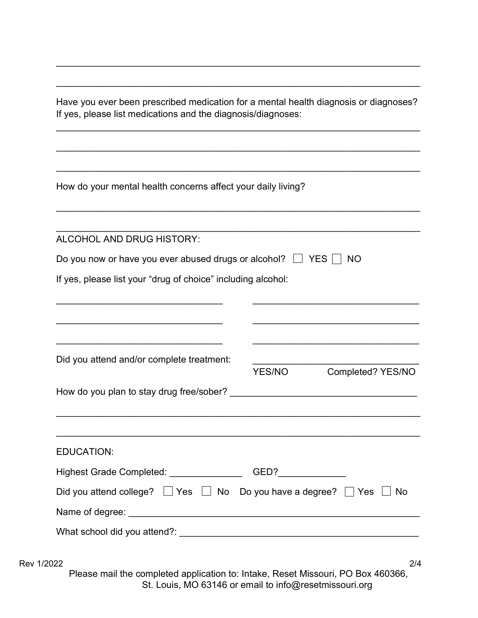Have you ever been prescribed medication for a mental health diagnosis or diagnoses? If yes, please list medications and the diagnosis/diagnoses:

 $\mathcal{L}_\mathcal{L} = \mathcal{L}_\mathcal{L} = \mathcal{L}_\mathcal{L} = \mathcal{L}_\mathcal{L} = \mathcal{L}_\mathcal{L} = \mathcal{L}_\mathcal{L} = \mathcal{L}_\mathcal{L} = \mathcal{L}_\mathcal{L} = \mathcal{L}_\mathcal{L} = \mathcal{L}_\mathcal{L} = \mathcal{L}_\mathcal{L} = \mathcal{L}_\mathcal{L} = \mathcal{L}_\mathcal{L} = \mathcal{L}_\mathcal{L} = \mathcal{L}_\mathcal{L} = \mathcal{L}_\mathcal{L} = \mathcal{L}_\mathcal{L}$ 

\_\_\_\_\_\_\_\_\_\_\_\_\_\_\_\_\_\_\_\_\_\_\_\_\_\_\_\_\_\_\_\_\_\_\_\_\_\_\_\_\_\_\_\_\_\_\_\_\_\_\_\_\_\_\_\_\_\_\_\_\_\_\_\_\_\_\_\_\_\_

\_\_\_\_\_\_\_\_\_\_\_\_\_\_\_\_\_\_\_\_\_\_\_\_\_\_\_\_\_\_\_\_\_\_\_\_\_\_\_\_\_\_\_\_\_\_\_\_\_\_\_\_\_\_\_\_\_\_\_\_\_\_\_\_\_\_\_\_\_\_

 $\mathcal{L}_\mathcal{L} = \mathcal{L}_\mathcal{L} = \mathcal{L}_\mathcal{L} = \mathcal{L}_\mathcal{L} = \mathcal{L}_\mathcal{L} = \mathcal{L}_\mathcal{L} = \mathcal{L}_\mathcal{L} = \mathcal{L}_\mathcal{L} = \mathcal{L}_\mathcal{L} = \mathcal{L}_\mathcal{L} = \mathcal{L}_\mathcal{L} = \mathcal{L}_\mathcal{L} = \mathcal{L}_\mathcal{L} = \mathcal{L}_\mathcal{L} = \mathcal{L}_\mathcal{L} = \mathcal{L}_\mathcal{L} = \mathcal{L}_\mathcal{L}$ 

\_\_\_\_\_\_\_\_\_\_\_\_\_\_\_\_\_\_\_\_\_\_\_\_\_\_\_\_\_\_\_\_\_\_\_\_\_\_\_\_\_\_\_\_\_\_\_\_\_\_\_\_\_\_\_\_\_\_\_\_\_\_\_\_\_\_\_\_\_\_ How do your mental health concerns affect your daily living? \_\_\_\_\_\_\_\_\_\_\_\_\_\_\_\_\_\_\_\_\_\_\_\_\_\_\_\_\_\_\_\_\_\_\_\_\_\_\_\_\_\_\_\_\_\_\_\_\_\_\_\_\_\_\_\_\_\_\_\_\_\_\_\_\_\_\_\_\_\_  $\mathcal{L}_\mathcal{L} = \mathcal{L}_\mathcal{L} = \mathcal{L}_\mathcal{L} = \mathcal{L}_\mathcal{L} = \mathcal{L}_\mathcal{L} = \mathcal{L}_\mathcal{L} = \mathcal{L}_\mathcal{L} = \mathcal{L}_\mathcal{L} = \mathcal{L}_\mathcal{L} = \mathcal{L}_\mathcal{L} = \mathcal{L}_\mathcal{L} = \mathcal{L}_\mathcal{L} = \mathcal{L}_\mathcal{L} = \mathcal{L}_\mathcal{L} = \mathcal{L}_\mathcal{L} = \mathcal{L}_\mathcal{L} = \mathcal{L}_\mathcal{L}$ ALCOHOL AND DRUG HISTORY: Do you now or have you ever abused drugs or alcohol?  $\Box$  YES  $\Box$  NO If yes, please list your "drug of choice" including alcohol:  $\mathcal{L}_\text{max}$  , and the contribution of the contribution of the contribution of the contribution of the contribution of the contribution of the contribution of the contribution of the contribution of the contribution of t  $\overline{\phantom{a}}$  , and the contribution of the contribution of  $\overline{\phantom{a}}$  , and  $\overline{\phantom{a}}$  , and  $\overline{\phantom{a}}$  , and  $\overline{\phantom{a}}$  , and  $\overline{\phantom{a}}$  $\mathcal{L}_\text{max}$  , and the contribution of the contribution of the contribution of the contribution of the contribution of the contribution of the contribution of the contribution of the contribution of the contribution of t Did you attend and/or complete treatment: YES/NO Completed? YES/NO How do you plan to stay drug free/sober? **Example 20** and the vertex of the vertex of the vertex of the vertex of the vertex of the vertex of the vertex of the vertex of the vertex of the vertex of the vertex of the vertex \_\_\_\_\_\_\_\_\_\_\_\_\_\_\_\_\_\_\_\_\_\_\_\_\_\_\_\_\_\_\_\_\_\_\_\_\_\_\_\_\_\_\_\_\_\_\_\_\_\_\_\_\_\_\_\_\_\_\_\_\_\_\_\_\_\_\_\_\_\_  $\mathcal{L}_\mathcal{L} = \mathcal{L}_\mathcal{L} = \mathcal{L}_\mathcal{L} = \mathcal{L}_\mathcal{L} = \mathcal{L}_\mathcal{L} = \mathcal{L}_\mathcal{L} = \mathcal{L}_\mathcal{L} = \mathcal{L}_\mathcal{L} = \mathcal{L}_\mathcal{L} = \mathcal{L}_\mathcal{L} = \mathcal{L}_\mathcal{L} = \mathcal{L}_\mathcal{L} = \mathcal{L}_\mathcal{L} = \mathcal{L}_\mathcal{L} = \mathcal{L}_\mathcal{L} = \mathcal{L}_\mathcal{L} = \mathcal{L}_\mathcal{L}$ EDUCATION: Highest Grade Completed: GED? Did you attend college?  $\Box$  Yes  $\Box$  No Do you have a degree?  $\Box$  Yes  $\Box$  No Name of degree: \_\_\_\_\_\_\_\_\_\_\_\_\_\_\_\_\_\_\_\_\_\_\_\_\_\_\_\_\_\_\_\_\_\_\_\_\_\_\_\_\_\_\_\_\_\_\_\_\_\_\_\_\_\_\_\_ What school did you attend?: **What school** did you attend?

Rev 1/2022 2/4

Please mail the completed application to: Intake, Reset Missouri, PO Box 460366, St. Louis, MO 63146 or email to info@resetmissouri.org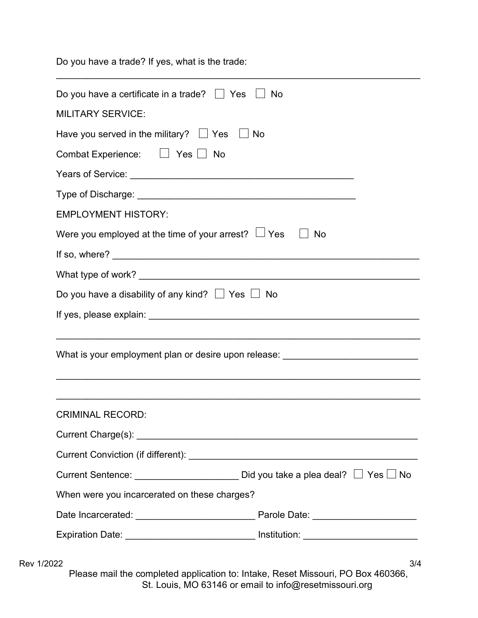Do you have a trade? If yes, what is the trade:

| Do you have a certificate in a trade? $\Box$ Yes $\Box$    | No                                                                                                                                                                                                                                                                                                                                                                                                  |
|------------------------------------------------------------|-----------------------------------------------------------------------------------------------------------------------------------------------------------------------------------------------------------------------------------------------------------------------------------------------------------------------------------------------------------------------------------------------------|
| <b>MILITARY SERVICE:</b>                                   |                                                                                                                                                                                                                                                                                                                                                                                                     |
| Have you served in the military? $\Box$ Yes $\Box$ No      |                                                                                                                                                                                                                                                                                                                                                                                                     |
| Combat Experience: $\Box$ Yes $\Box$ No                    |                                                                                                                                                                                                                                                                                                                                                                                                     |
|                                                            |                                                                                                                                                                                                                                                                                                                                                                                                     |
|                                                            |                                                                                                                                                                                                                                                                                                                                                                                                     |
| <b>EMPLOYMENT HISTORY:</b>                                 |                                                                                                                                                                                                                                                                                                                                                                                                     |
| Were you employed at the time of your arrest? $\Box$ Yes   | <b>No</b>                                                                                                                                                                                                                                                                                                                                                                                           |
|                                                            |                                                                                                                                                                                                                                                                                                                                                                                                     |
|                                                            |                                                                                                                                                                                                                                                                                                                                                                                                     |
| Do you have a disability of any kind? $\Box$ Yes $\Box$ No |                                                                                                                                                                                                                                                                                                                                                                                                     |
|                                                            |                                                                                                                                                                                                                                                                                                                                                                                                     |
|                                                            | What is your employment plan or desire upon release: ___________________________                                                                                                                                                                                                                                                                                                                    |
| <b>CRIMINAL RECORD:</b>                                    |                                                                                                                                                                                                                                                                                                                                                                                                     |
|                                                            |                                                                                                                                                                                                                                                                                                                                                                                                     |
|                                                            |                                                                                                                                                                                                                                                                                                                                                                                                     |
|                                                            | Current Sentence: $\frac{1}{\sqrt{1-\frac{1}{2}}\sqrt{1-\frac{1}{2}}\sqrt{1-\frac{1}{2}}\sqrt{1-\frac{1}{2}}\sqrt{1-\frac{1}{2}}\sqrt{1-\frac{1}{2}}\sqrt{1-\frac{1}{2}}\sqrt{1-\frac{1}{2}}\sqrt{1-\frac{1}{2}}\sqrt{1-\frac{1}{2}}\sqrt{1-\frac{1}{2}}\sqrt{1-\frac{1}{2}}\sqrt{1-\frac{1}{2}}\sqrt{1-\frac{1}{2}}\sqrt{1-\frac{1}{2}}\sqrt{1-\frac{1}{2}}\sqrt{1-\frac{1}{2}}\sqrt{1-\frac{1}{2$ |
| When were you incarcerated on these charges?               |                                                                                                                                                                                                                                                                                                                                                                                                     |
|                                                            |                                                                                                                                                                                                                                                                                                                                                                                                     |
|                                                            | Expiration Date: ____________________________ Institution: _____________________                                                                                                                                                                                                                                                                                                                    |

\_\_\_\_\_\_\_\_\_\_\_\_\_\_\_\_\_\_\_\_\_\_\_\_\_\_\_\_\_\_\_\_\_\_\_\_\_\_\_\_\_\_\_\_\_\_\_\_\_\_\_\_\_\_\_\_\_\_\_\_\_\_\_\_\_\_\_\_\_\_

Please mail the completed application to: Intake, Reset Missouri, PO Box 460366, St. Louis, MO 63146 or email to info@resetmissouri.org